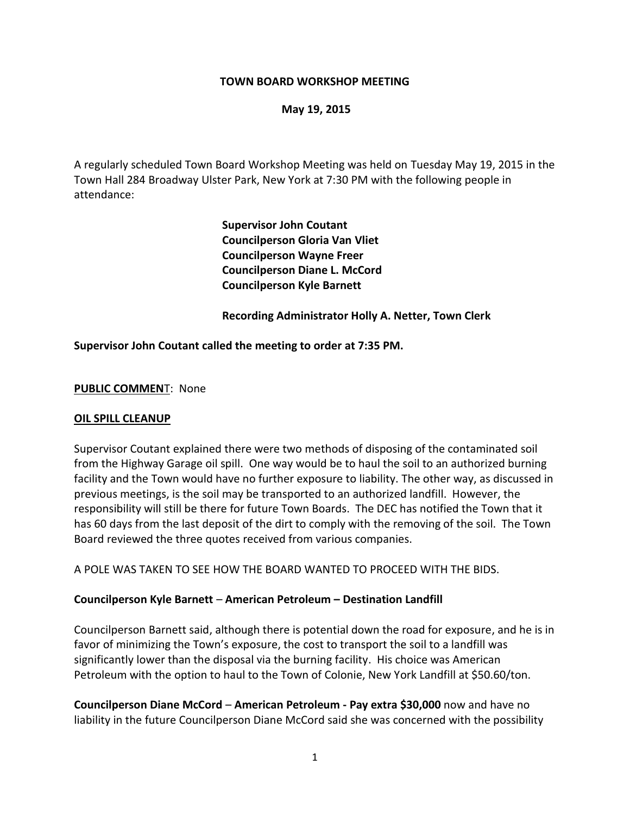#### **TOWN BOARD WORKSHOP MEETING**

#### **May 19, 2015**

A regularly scheduled Town Board Workshop Meeting was held on Tuesday May 19, 2015 in the Town Hall 284 Broadway Ulster Park, New York at 7:30 PM with the following people in attendance:

> **Supervisor John Coutant Councilperson Gloria Van Vliet Councilperson Wayne Freer Councilperson Diane L. McCord Councilperson Kyle Barnett**

**Recording Administrator Holly A. Netter, Town Clerk**

#### **Supervisor John Coutant called the meeting to order at 7:35 PM.**

#### **PUBLIC COMMEN**T: None

#### **OIL SPILL CLEANUP**

Supervisor Coutant explained there were two methods of disposing of the contaminated soil from the Highway Garage oil spill. One way would be to haul the soil to an authorized burning facility and the Town would have no further exposure to liability. The other way, as discussed in previous meetings, is the soil may be transported to an authorized landfill. However, the responsibility will still be there for future Town Boards. The DEC has notified the Town that it has 60 days from the last deposit of the dirt to comply with the removing of the soil. The Town Board reviewed the three quotes received from various companies.

A POLE WAS TAKEN TO SEE HOW THE BOARD WANTED TO PROCEED WITH THE BIDS.

#### **Councilperson Kyle Barnett** – **American Petroleum – Destination Landfill**

Councilperson Barnett said, although there is potential down the road for exposure, and he is in favor of minimizing the Town's exposure, the cost to transport the soil to a landfill was significantly lower than the disposal via the burning facility. His choice was American Petroleum with the option to haul to the Town of Colonie, New York Landfill at \$50.60/ton.

**Councilperson Diane McCord** – **American Petroleum - Pay extra \$30,000** now and have no liability in the future Councilperson Diane McCord said she was concerned with the possibility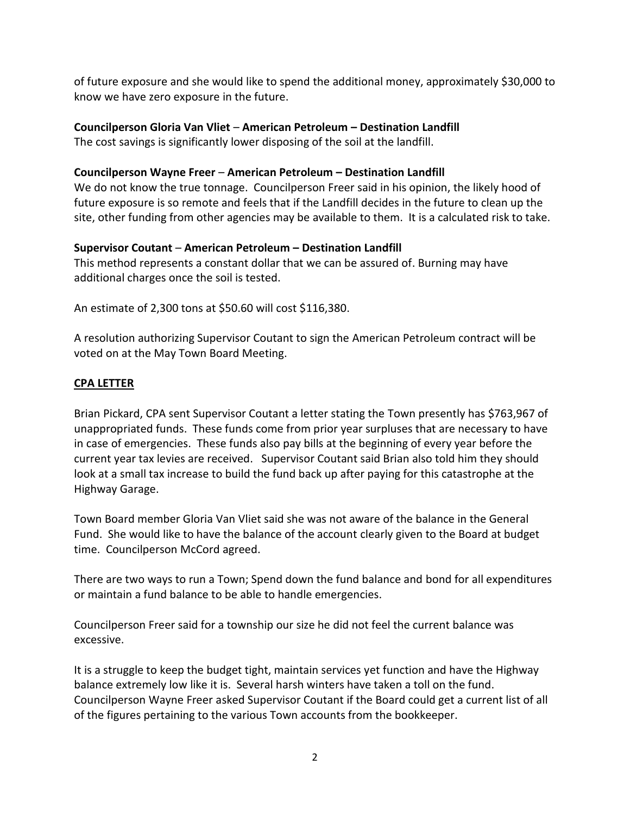of future exposure and she would like to spend the additional money, approximately \$30,000 to know we have zero exposure in the future.

# **Councilperson Gloria Van Vliet** – **American Petroleum – Destination Landfill**

The cost savings is significantly lower disposing of the soil at the landfill.

# **Councilperson Wayne Freer** – **American Petroleum – Destination Landfill**

We do not know the true tonnage. Councilperson Freer said in his opinion, the likely hood of future exposure is so remote and feels that if the Landfill decides in the future to clean up the site, other funding from other agencies may be available to them. It is a calculated risk to take.

# **Supervisor Coutant** – **American Petroleum – Destination Landfill**

This method represents a constant dollar that we can be assured of. Burning may have additional charges once the soil is tested.

An estimate of 2,300 tons at \$50.60 will cost \$116,380.

A resolution authorizing Supervisor Coutant to sign the American Petroleum contract will be voted on at the May Town Board Meeting.

# **CPA LETTER**

Brian Pickard, CPA sent Supervisor Coutant a letter stating the Town presently has \$763,967 of unappropriated funds. These funds come from prior year surpluses that are necessary to have in case of emergencies. These funds also pay bills at the beginning of every year before the current year tax levies are received. Supervisor Coutant said Brian also told him they should look at a small tax increase to build the fund back up after paying for this catastrophe at the Highway Garage.

Town Board member Gloria Van Vliet said she was not aware of the balance in the General Fund. She would like to have the balance of the account clearly given to the Board at budget time. Councilperson McCord agreed.

There are two ways to run a Town; Spend down the fund balance and bond for all expenditures or maintain a fund balance to be able to handle emergencies.

Councilperson Freer said for a township our size he did not feel the current balance was excessive.

It is a struggle to keep the budget tight, maintain services yet function and have the Highway balance extremely low like it is. Several harsh winters have taken a toll on the fund. Councilperson Wayne Freer asked Supervisor Coutant if the Board could get a current list of all of the figures pertaining to the various Town accounts from the bookkeeper.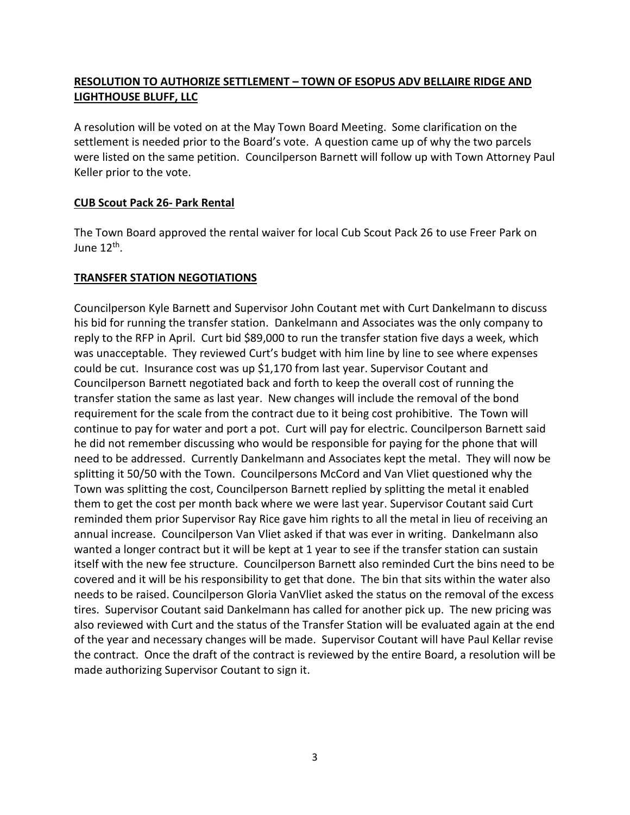# **RESOLUTION TO AUTHORIZE SETTLEMENT – TOWN OF ESOPUS ADV BELLAIRE RIDGE AND LIGHTHOUSE BLUFF, LLC**

A resolution will be voted on at the May Town Board Meeting. Some clarification on the settlement is needed prior to the Board's vote. A question came up of why the two parcels were listed on the same petition. Councilperson Barnett will follow up with Town Attorney Paul Keller prior to the vote.

## **CUB Scout Pack 26- Park Rental**

The Town Board approved the rental waiver for local Cub Scout Pack 26 to use Freer Park on June 12<sup>th</sup>.

### **TRANSFER STATION NEGOTIATIONS**

Councilperson Kyle Barnett and Supervisor John Coutant met with Curt Dankelmann to discuss his bid for running the transfer station. Dankelmann and Associates was the only company to reply to the RFP in April. Curt bid \$89,000 to run the transfer station five days a week, which was unacceptable. They reviewed Curt's budget with him line by line to see where expenses could be cut. Insurance cost was up \$1,170 from last year. Supervisor Coutant and Councilperson Barnett negotiated back and forth to keep the overall cost of running the transfer station the same as last year. New changes will include the removal of the bond requirement for the scale from the contract due to it being cost prohibitive. The Town will continue to pay for water and port a pot. Curt will pay for electric. Councilperson Barnett said he did not remember discussing who would be responsible for paying for the phone that will need to be addressed. Currently Dankelmann and Associates kept the metal. They will now be splitting it 50/50 with the Town. Councilpersons McCord and Van Vliet questioned why the Town was splitting the cost, Councilperson Barnett replied by splitting the metal it enabled them to get the cost per month back where we were last year. Supervisor Coutant said Curt reminded them prior Supervisor Ray Rice gave him rights to all the metal in lieu of receiving an annual increase. Councilperson Van Vliet asked if that was ever in writing. Dankelmann also wanted a longer contract but it will be kept at 1 year to see if the transfer station can sustain itself with the new fee structure. Councilperson Barnett also reminded Curt the bins need to be covered and it will be his responsibility to get that done. The bin that sits within the water also needs to be raised. Councilperson Gloria VanVliet asked the status on the removal of the excess tires. Supervisor Coutant said Dankelmann has called for another pick up. The new pricing was also reviewed with Curt and the status of the Transfer Station will be evaluated again at the end of the year and necessary changes will be made. Supervisor Coutant will have Paul Kellar revise the contract. Once the draft of the contract is reviewed by the entire Board, a resolution will be made authorizing Supervisor Coutant to sign it.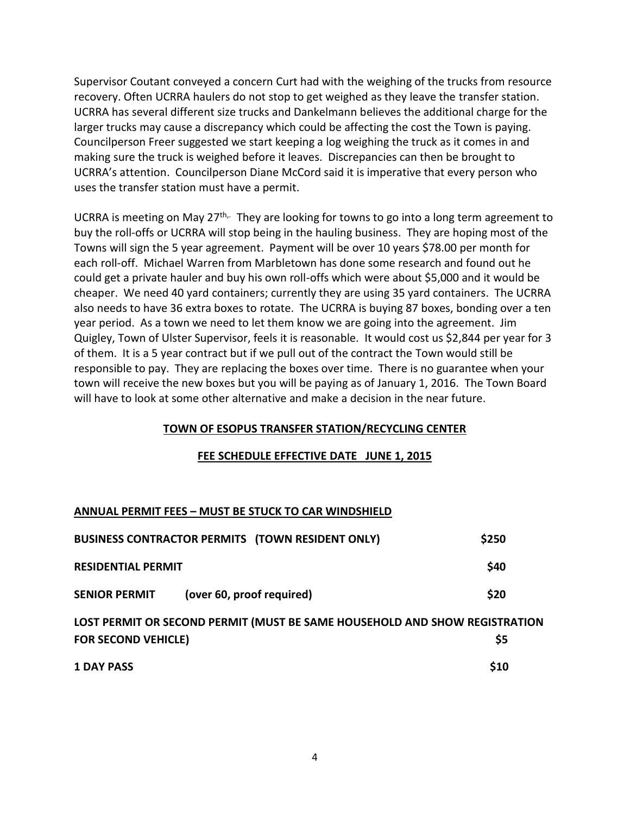Supervisor Coutant conveyed a concern Curt had with the weighing of the trucks from resource recovery. Often UCRRA haulers do not stop to get weighed as they leave the transfer station. UCRRA has several different size trucks and Dankelmann believes the additional charge for the larger trucks may cause a discrepancy which could be affecting the cost the Town is paying. Councilperson Freer suggested we start keeping a log weighing the truck as it comes in and making sure the truck is weighed before it leaves. Discrepancies can then be brought to UCRRA's attention. Councilperson Diane McCord said it is imperative that every person who uses the transfer station must have a permit.

UCRRA is meeting on May 27<sup>th,.</sup> They are looking for towns to go into a long term agreement to buy the roll-offs or UCRRA will stop being in the hauling business. They are hoping most of the Towns will sign the 5 year agreement. Payment will be over 10 years \$78.00 per month for each roll-off. Michael Warren from Marbletown has done some research and found out he could get a private hauler and buy his own roll-offs which were about \$5,000 and it would be cheaper. We need 40 yard containers; currently they are using 35 yard containers. The UCRRA also needs to have 36 extra boxes to rotate. The UCRRA is buying 87 boxes, bonding over a ten year period. As a town we need to let them know we are going into the agreement. Jim Quigley, Town of Ulster Supervisor, feels it is reasonable. It would cost us \$2,844 per year for 3 of them. It is a 5 year contract but if we pull out of the contract the Town would still be responsible to pay. They are replacing the boxes over time. There is no guarantee when your town will receive the new boxes but you will be paying as of January 1, 2016. The Town Board will have to look at some other alternative and make a decision in the near future.

#### **TOWN OF ESOPUS TRANSFER STATION/RECYCLING CENTER**

#### **FEE SCHEDULE EFFECTIVE DATE JUNE 1, 2015**

#### **ANNUAL PERMIT FEES – MUST BE STUCK TO CAR WINDSHIELD**

| <b>BUSINESS CONTRACTOR PERMITS (TOWN RESIDENT ONLY)</b>                                                         | \$250 |
|-----------------------------------------------------------------------------------------------------------------|-------|
| <b>RESIDENTIAL PERMIT</b>                                                                                       | \$40  |
| (over 60, proof required)<br><b>SENIOR PERMIT</b>                                                               | \$20  |
| LOST PERMIT OR SECOND PERMIT (MUST BE SAME HOUSEHOLD AND SHOW REGISTRATION<br><b>FOR SECOND VEHICLE)</b><br>\$5 |       |
| <b>1 DAY PASS</b>                                                                                               | \$10  |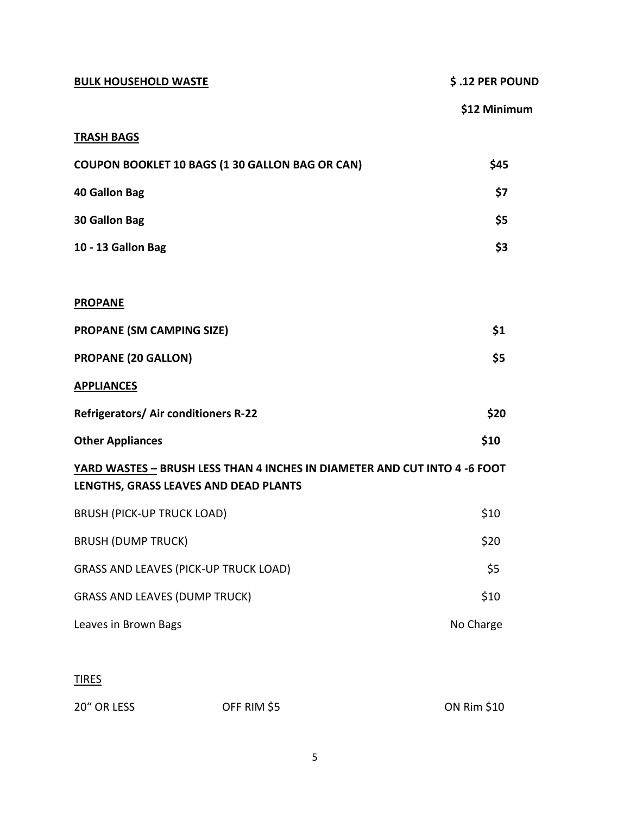| <b>BULK HOUSEHOLD WASTE</b>                                                                                        | \$.12 PER POUND |  |
|--------------------------------------------------------------------------------------------------------------------|-----------------|--|
|                                                                                                                    | \$12 Minimum    |  |
| <b>TRASH BAGS</b>                                                                                                  |                 |  |
| <b>COUPON BOOKLET 10 BAGS (1 30 GALLON BAG OR CAN)</b>                                                             | \$45            |  |
| <b>40 Gallon Bag</b>                                                                                               | \$7             |  |
| 30 Gallon Bag                                                                                                      | \$5             |  |
| 10 - 13 Gallon Bag                                                                                                 | \$3             |  |
| <b>PROPANE</b>                                                                                                     |                 |  |
| <b>PROPANE (SM CAMPING SIZE)</b>                                                                                   | \$1             |  |
| <b>PROPANE (20 GALLON)</b>                                                                                         | \$5             |  |
| <b>APPLIANCES</b>                                                                                                  |                 |  |
| Refrigerators/ Air conditioners R-22                                                                               | \$20            |  |
| <b>Other Appliances</b>                                                                                            | \$10            |  |
| YARD WASTES - BRUSH LESS THAN 4 INCHES IN DIAMETER AND CUT INTO 4 -6 FOOT<br>LENGTHS, GRASS LEAVES AND DEAD PLANTS |                 |  |
| <b>BRUSH (PICK-UP TRUCK LOAD)</b>                                                                                  | \$10            |  |
| <b>BRUSH (DUMP TRUCK)</b>                                                                                          | \$20            |  |
| <b>GRASS AND LEAVES (PICK-UP TRUCK LOAD)</b>                                                                       | \$5             |  |
| <b>GRASS AND LEAVES (DUMP TRUCK)</b>                                                                               | \$10            |  |
| Leaves in Brown Bags                                                                                               | No Charge       |  |
|                                                                                                                    |                 |  |

# TIRES

| 20" OR LESS | OFF RIM \$5 | <b>ON Rim \$10</b> |
|-------------|-------------|--------------------|
|             |             |                    |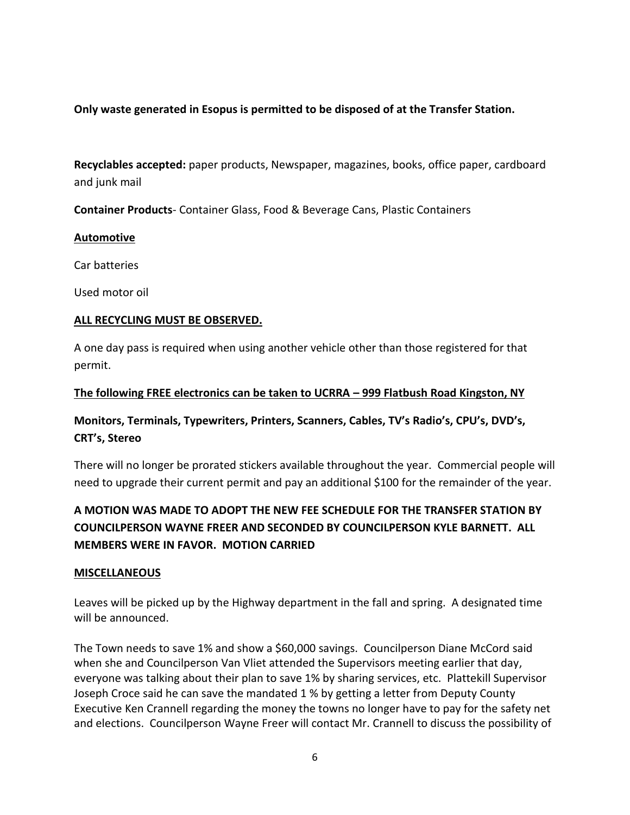# **Only waste generated in Esopus is permitted to be disposed of at the Transfer Station.**

**Recyclables accepted:** paper products, Newspaper, magazines, books, office paper, cardboard and junk mail

**Container Products**- Container Glass, Food & Beverage Cans, Plastic Containers

#### **Automotive**

Car batteries

Used motor oil

### **ALL RECYCLING MUST BE OBSERVED.**

A one day pass is required when using another vehicle other than those registered for that permit.

### **The following FREE electronics can be taken to UCRRA – 999 Flatbush Road Kingston, NY**

# **Monitors, Terminals, Typewriters, Printers, Scanners, Cables, TV's Radio's, CPU's, DVD's, CRT's, Stereo**

There will no longer be prorated stickers available throughout the year. Commercial people will need to upgrade their current permit and pay an additional \$100 for the remainder of the year.

# **A MOTION WAS MADE TO ADOPT THE NEW FEE SCHEDULE FOR THE TRANSFER STATION BY COUNCILPERSON WAYNE FREER AND SECONDED BY COUNCILPERSON KYLE BARNETT. ALL MEMBERS WERE IN FAVOR. MOTION CARRIED**

#### **MISCELLANEOUS**

Leaves will be picked up by the Highway department in the fall and spring. A designated time will be announced.

The Town needs to save 1% and show a \$60,000 savings. Councilperson Diane McCord said when she and Councilperson Van Vliet attended the Supervisors meeting earlier that day, everyone was talking about their plan to save 1% by sharing services, etc. Plattekill Supervisor Joseph Croce said he can save the mandated 1 % by getting a letter from Deputy County Executive Ken Crannell regarding the money the towns no longer have to pay for the safety net and elections. Councilperson Wayne Freer will contact Mr. Crannell to discuss the possibility of